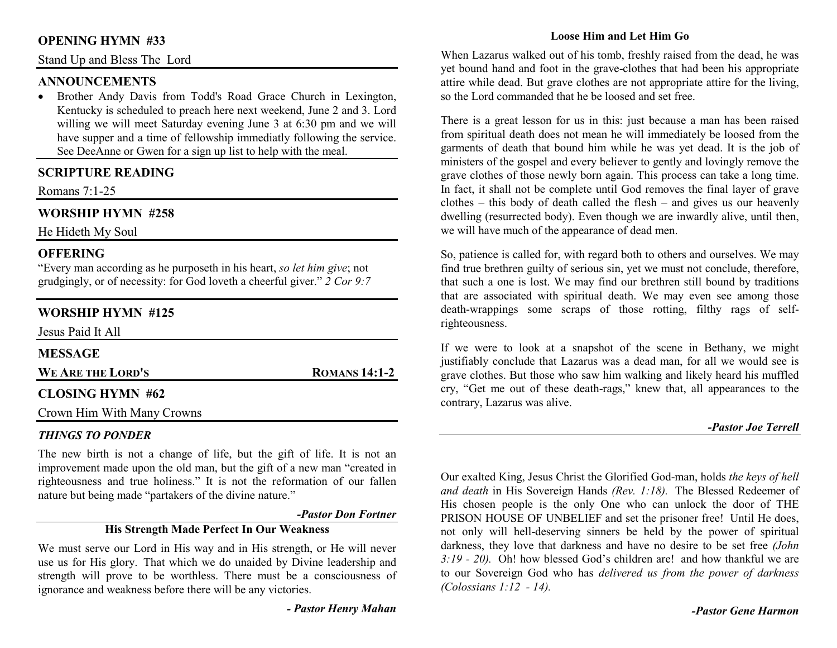# **OPENING HYMN #33**

Stand Up and Bless The Lord

### **ANNOUNCEMENTS**

 • Brother Andy Davis from Todd's Road Grace Church in Lexington, Kentucky is scheduled to preach here next weekend, June 2 and 3. Lord willing we will meet Saturday evening June 3 at 6:30 pm and we will have supper and a time of fellowship immediatly following the service. See DeeAnne or Gwen for a sign up list to help with the meal.

# **SCRIPTURE READING**

Romans 7:1-25

# **WORSHIP HYMN #258**

He Hideth My Soul

## **OFFERING**

 "Every man according as he purposeth in his heart, *so let him give*; not grudgingly, or of necessity: for God loveth a cheerful giver." *2 Cor 9:7*

# **WORSHIP HYMN #125**

| Jesus Paid It All       |                      |
|-------------------------|----------------------|
| <b>MESSAGE</b>          |                      |
| WE ARE THE LORD'S       | <b>ROMANS 14:1-2</b> |
| <b>CLOSING HYMN #62</b> |                      |

Crown Him With Many Crowns

## *THINGS TO PONDER*

 The new birth is not a change of life, but the gift of life. It is not an improvement made upon the old man, but the gift of a new man "created in righteousness and true holiness." It is not the reformation of our fallen nature but being made "partakers of the divine nature."

#### *-Pastor Don Fortner*

# **His Strength Made Perfect In Our Weakness**

We must serve our Lord in His way and in His strength, or He will never use us for His glory. That which we do unaided by Divine leadership and strength will prove to be worthless. There must be a consciousness of ignorance and weakness before there will be any victories.

*- Pastor Henry Mahan*

## **Loose Him and Let Him Go**

When Lazarus walked out of his tomb, freshly raised from the dead, he was yet bound hand and foot in the grave-clothes that had been his appropriate attire while dead. But grave clothes are not appropriate attire for the living, so the Lord commanded that he be loosed and set free.

There is a great lesson for us in this: just because a man has been raised from spiritual death does not mean he will immediately be loosed from the garments of death that bound him while he was yet dead. It is the job of ministers of the gospel and every believer to gently and lovingly remove the grave clothes of those newly born again. This process can take a long time. In fact, it shall not be complete until God removes the final layer of grave clothes – this body of death called the flesh – and gives us our heavenly dwelling (resurrected body). Even though we are inwardly alive, until then, we will have much of the appearance of dead men.

So, patience is called for, with regard both to others and ourselves. We may find true brethren guilty of serious sin, yet we must not conclude, therefore, that such a one is lost. We may find our brethren still bound by traditions that are associated with spiritual death. We may even see among those death-wrappings some scraps of those rotting, filthy rags of selfrighteousness.

If we were to look at a snapshot of the scene in Bethany, we might justifiably conclude that Lazarus was a dead man, for all we would see is grave clothes. But those who saw him walking and likely heard his muffled cry, "Get me out of these death-rags," knew that, all appearances to the contrary, Lazarus was alive.

#### *-Pastor Joe Terrell*

Our exalted King, Jesus Christ the Glorified God-man, holds *the keys of hell and death* in His Sovereign Hands *(Rev. 1:18).* The Blessed Redeemer of His chosen people is the only One who can unlock the door of THE PRISON HOUSE OF UNBELIEF and set the prisoner free! Until He does, not only will hell-deserving sinners be held by the power of spiritual darkness, they love that darkness and have no desire to be set free *(John 3:19 - 20).* Oh! how blessed God's children are! and how thankful we are to our Sovereign God who has *delivered us from the power of darkness (Colossians 1:12 - 14).*